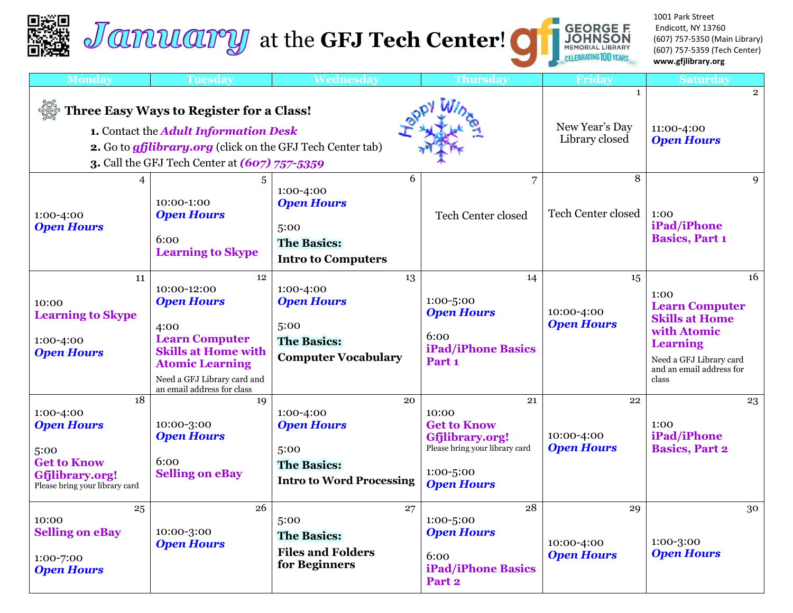# **Jamuary** at the **GFJ Tech Center!**

1001 Park Street Endicott, NY 13760 (607) 757-5350 (Main Library) (607) 757-5359 (Tech Center) **www.gfjlibrary.org**

**GEORGE F.<br>JOHNSON<br>MEMORIAL LIBRARY<br><sub>SIS</sub>CELEBRATING 100 YEARS** 

| <b>Monday</b>                                                                                                                                                                                           | <b>Tuesday</b>                                                                                                                                                                               | Wednesday                                                                                             | <b>Thursday</b>                                                                                                          | Friday                                           | <b>Saturday</b>                                                                                                                                                |
|---------------------------------------------------------------------------------------------------------------------------------------------------------------------------------------------------------|----------------------------------------------------------------------------------------------------------------------------------------------------------------------------------------------|-------------------------------------------------------------------------------------------------------|--------------------------------------------------------------------------------------------------------------------------|--------------------------------------------------|----------------------------------------------------------------------------------------------------------------------------------------------------------------|
| Three Easy Ways to Register for a Class!<br>1. Contact the Adult Information Desk<br>2. Go to <i>gfjlibrary.org</i> (click on the GFJ Tech Center tab)<br>3. Call the GFJ Tech Center at (607) 757-5359 |                                                                                                                                                                                              |                                                                                                       |                                                                                                                          | $\mathbf{1}$<br>New Year's Day<br>Library closed | $\overline{2}$<br>11:00-4:00<br><b>Open Hours</b>                                                                                                              |
| $\overline{4}$<br>1:00-4:00<br><b>Open Hours</b>                                                                                                                                                        | 10:00-1:00<br><b>Open Hours</b><br>6:00<br><b>Learning to Skype</b>                                                                                                                          | 6<br>1:00-4:00<br><b>Open Hours</b><br>5:00<br><b>The Basics:</b><br><b>Intro to Computers</b>        | $\overline{7}$<br><b>Tech Center closed</b>                                                                              | 8<br>Tech Center closed                          | $\mathbf Q$<br>1:00<br>iPad/iPhone<br><b>Basics, Part 1</b>                                                                                                    |
| 11<br>10:00<br><b>Learning to Skype</b><br>1:00-4:00<br><b>Open Hours</b>                                                                                                                               | 12<br>10:00-12:00<br><b>Open Hours</b><br>4:00<br><b>Learn Computer</b><br><b>Skills at Home with</b><br><b>Atomic Learning</b><br>Need a GFJ Library card and<br>an email address for class | 13<br>1:00-4:00<br><b>Open Hours</b><br>5:00<br><b>The Basics:</b><br><b>Computer Vocabulary</b>      | 14<br>1:00-5:00<br><b>Open Hours</b><br>6:00<br><b>iPad/iPhone Basics</b><br>Part <sub>1</sub>                           | 15<br>10:00-4:00<br><b>Open Hours</b>            | 16<br>1:00<br><b>Learn Computer</b><br><b>Skills at Home</b><br>with Atomic<br><b>Learning</b><br>Need a GFJ Library card<br>and an email address for<br>class |
| 18<br>1:00-4:00<br><b>Open Hours</b><br>5:00<br><b>Get to Know</b><br>Gfjlibrary.org!<br>Please bring your library card                                                                                 | 19<br>10:00-3:00<br><b>Open Hours</b><br>6:00<br><b>Selling on eBay</b>                                                                                                                      | 20<br>1:00-4:00<br><b>Open Hours</b><br>5:00<br><b>The Basics:</b><br><b>Intro to Word Processing</b> | 21<br>10:00<br><b>Get to Know</b><br>Gfjlibrary.org!<br>Please bring your library card<br>1:00-5:00<br><b>Open Hours</b> | 22<br>10:00-4:00<br><b>Open Hours</b>            | 23<br>1:00<br>iPad/iPhone<br><b>Basics, Part 2</b>                                                                                                             |
| 25<br>10:00<br><b>Selling on eBay</b><br>1:00-7:00<br><b>Open Hours</b>                                                                                                                                 | 26<br>10:00-3:00<br><b>Open Hours</b>                                                                                                                                                        | 27<br>5:00<br><b>The Basics:</b><br><b>Files and Folders</b><br>for Beginners                         | 28<br>1:00-5:00<br><b>Open Hours</b><br>6:00<br><b>iPad/iPhone Basics</b><br>Part <sub>2</sub>                           | 29<br>10:00-4:00<br><b>Open Hours</b>            | 30<br>1:00-3:00<br><b>Open Hours</b>                                                                                                                           |